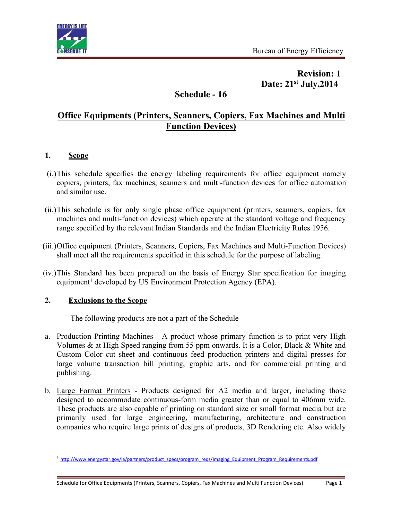

# **Revision: 1 Date: 21 st July,2014**

# **Schedule - 16**

# **Office Equipments (Printers, Scanners, Copiers, Fax Machines and Multi Function Devices)**

## **1. Scope**

- (i.)This schedule specifies the energy labeling requirements for office equipment namely copiers, printers, fax machines, scanners and multi-function devices for office automation and similar use.
- (ii.)This schedule is for only single phase office equipment (printers, scanners, copiers, fax machines and multi-function devices) which operate at the standard voltage and frequency range specified by the relevant Indian Standards and the Indian Electricity Rules 1956.
- (iii.)Office equipment (Printers, Scanners, Copiers, Fax Machines and Multi-Function Devices) shall meet all the requirements specified in this schedule for the purpose of labeling.
- (iv.)This Standard has been prepared on the basis of Energy Star specification for imaging equipment<sup>[1](#page-0-0)</sup> developed by US Environment Protection Agency (EPA).

## **2. Exclusions to the Scope**

The following products are not a part of the Schedule

- a. Production Printing Machines A product whose primary function is to print very High Volumes & at High Speed ranging from 55 ppm onwards. It is a Color, Black & White and Custom Color cut sheet and continuous feed production printers and digital presses for large volume transaction bill printing, graphic arts, and for commercial printing and publishing.
- b. Large Format Printers Products designed for A2 media and larger, including those designed to accommodate continuous-form media greater than or equal to 406mm wide. These products are also capable of printing on standard size or small format media but are primarily used for large engineering, manufacturing, architecture and construction companies who require large prints of designs of products, 3D Rendering etc. Also widely

<span id="page-0-0"></span><sup>&</sup>lt;sup>1</sup> [http://www.energystar.gov/ia/partners/product\\_specs/program\\_reqs/Imaging\\_Equipment\\_Program\\_Requirements.pdf](http://www.energystar.gov/ia/partners/product_specs/program_reqs/Imaging_Equipment_Program_Requirements.pdf)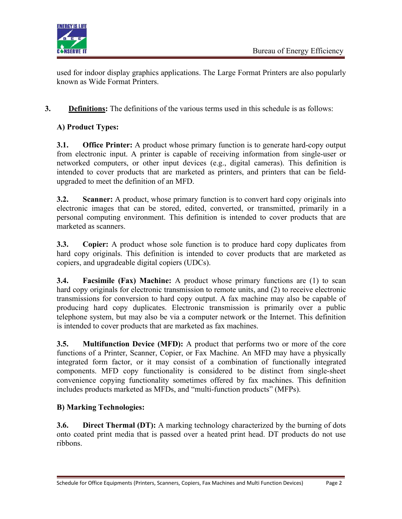

used for indoor display graphics applications. The Large Format Printers are also popularly known as Wide Format Printers

**3. Definitions:** The definitions of the various terms used in this schedule is as follows:

## **A) Product Types:**

**3.1. Office Printer:** A product whose primary function is to generate hard-copy output from electronic input. A printer is capable of receiving information from single-user or networked computers, or other input devices (e.g., digital cameras). This definition is intended to cover products that are marketed as printers, and printers that can be fieldupgraded to meet the definition of an MFD.

**3.2. Scanner:** A product, whose primary function is to convert hard copy originals into electronic images that can be stored, edited, converted, or transmitted, primarily in a personal computing environment. This definition is intended to cover products that are marketed as scanners.

**3.3. Copier:** A product whose sole function is to produce hard copy duplicates from hard copy originals. This definition is intended to cover products that are marketed as copiers, and upgradeable digital copiers (UDCs).

**3.4. Facsimile (Fax) Machine:** A product whose primary functions are (1) to scan hard copy originals for electronic transmission to remote units, and (2) to receive electronic transmissions for conversion to hard copy output. A fax machine may also be capable of producing hard copy duplicates. Electronic transmission is primarily over a public telephone system, but may also be via a computer network or the Internet.This definition is intended to cover products that are marketed as fax machines.

**3.5. Multifunction Device (MFD):** A product that performs two or more of the core functions of a Printer, Scanner, Copier, or Fax Machine. An MFD may have a physically integrated form factor, or it may consist of a combination of functionally integrated components. MFD copy functionality is considered to be distinct from single-sheet convenience copying functionality sometimes offered by fax machines. This definition includes products marketed as MFDs, and "multi-function products" (MFPs).

## **B) Marking Technologies:**

**3.6. Direct Thermal (DT):** A marking technology characterized by the burning of dots onto coated print media that is passed over a heated print head.DT products do not use ribbons.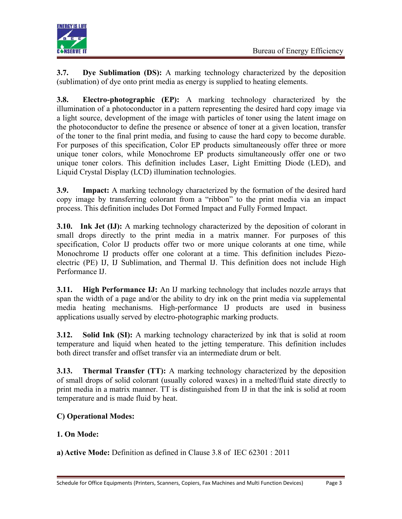

**3.7. Dye Sublimation (DS):** A marking technology characterized by the deposition (sublimation) of dye onto print media asenergy is supplied to heating elements.

**3.8. Electro-photographic (EP):** A marking technology characterized by the illumination of a photoconductor in a pattern representing the desired hard copy image via a light source, development of the image with particles of toner using the latent image on the photoconductor to define the presence or absence of toner at a given location, transfer of the toner to the final print media, and fusing to cause the hard copy to become durable. For purposes of this specification, Color EP products simultaneously offer three or more unique toner colors, while Monochrome EP products simultaneously offer one or two unique toner colors. This definition includes Laser, Light Emitting Diode (LED), and Liquid Crystal Display (LCD) illumination technologies.

**3.9. Impact:** A marking technology characterized by the formation of the desired hard copy image by transferring colorant from a "ribbon" to the print media via an impact process. This definition includes Dot Formed Impact and Fully Formed Impact.

**3.10. Ink Jet (IJ):** A marking technology characterized by the deposition of colorant in small drops directly to the print media in a matrix manner. For purposes of this specification, Color IJ products offer two or more unique colorants at one time, while Monochrome IJ products offer one colorant at a time. This definition includes Piezoelectric (PE) IJ, IJ Sublimation, and Thermal IJ. This definition does not include High Performance IJ.

**3.11. High Performance IJ:** An IJ marking technology that includes nozzle arrays that span the width of a page and/or the ability to dry ink on the print media via supplemental media heating mechanisms. High-performance IJ products are used in business applications usually served by electro-photographic marking products.

**3.12. Solid Ink (SI):** A marking technology characterized by ink that is solid at room temperature and liquid when heated to the jetting temperature. This definition includes both direct transfer and offset transfer via an intermediate drum or belt.

**3.13. Thermal Transfer (TT):** A marking technology characterized by the deposition of small drops of solid colorant (usually colored waxes)in a melted/fluid state directly to print media in a matrix manner. TT is distinguished from IJ in that the ink is solid at room temperature and is made fluid by heat.

# **C) Operational Modes:**

## **1. On Mode:**

**a) Active Mode:** Definition as defined in Clause 3.8 of IEC 62301 : 2011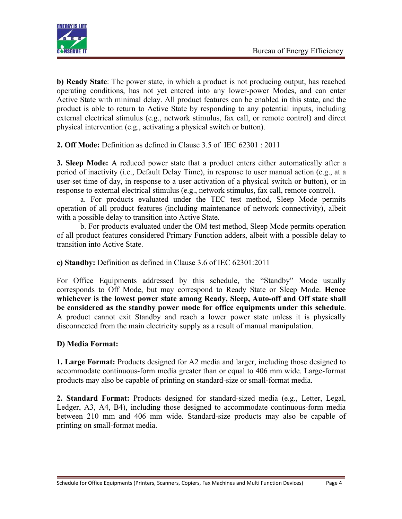

**b) Ready State**: The power state, in which a product is not producing output, has reached operating conditions, has not yet entered into any lower-power Modes, and can enter Active State with minimal delay. All product features can be enabled in this state, and the product is able to return to Active State by responding to any potential inputs, including external electrical stimulus (e.g., network stimulus, fax call, or remote control) and direct physical intervention (e.g., activating a physical switch or button).

**2. Off Mode:** Definition as defined in Clause 3.5 of IEC 62301 : 2011

**3. Sleep Mode:** A reduced power state that a product enters either automatically after a period of inactivity (i.e., Default Delay Time), in response to user manual action (e.g., at a user-set time of day, in response to a user activation of a physical switch or button), or in response to external electrical stimulus (e.g., network stimulus, fax call, remote control).

a. For products evaluated under the TEC test method, Sleep Mode permits operation of all product features (including maintenance of network connectivity), albeit with a possible delay to transition into Active State.

b. For products evaluated under the OM test method, Sleep Mode permits operation of all product features considered Primary Function adders, albeit with a possible delay to transition into Active State.

**e) Standby:** Definition as defined in Clause 3.6 of IEC 62301:2011

For Office Equipments addressed by this schedule, the "Standby" Mode usually corresponds to Off Mode, but may correspond to Ready State or Sleep Mode. **Hence whichever is the lowest power state among Ready, Sleep, Auto-off and Off state shall be considered as the standby power mode for office equipments under this schedule**. A product cannot exit Standby and reach a lower power state unless it is physically disconnected from the main electricity supply as a resultof manual manipulation.

## **D) Media Format:**

**1. Large Format:** Products designed for A2 media and larger, including those designed to accommodate continuous-form media greater than or equal to 406 mm wide. Large-format products may also be capable of printing on standard-size or small-format media.

**2. Standard Format:** Products designed for standard-sized media (e.g., Letter, Legal, Ledger, A3, A4, B4), including those designed to accommodate continuous-form media between 210 mm and 406 mm wide. Standard-size products may also be capable of printing on small-format media.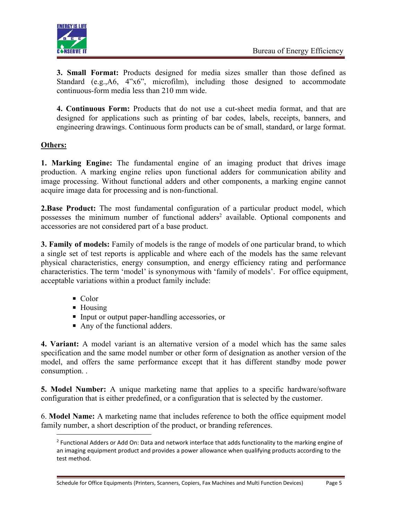

**3. Small Format:** Products designed for media sizes smaller than those defined as Standard (e.g.,A6, 4"x6", microfilm), including those designed to accommodate continuous-form media less than 210 mm wide.

**4. Continuous Form:** Products that do not use a cut-sheet media format, and that are designed for applications such as printing of bar codes, labels, receipts, banners, and engineering drawings. Continuous form products can be of small, standard, or large format.

## **Others:**

**1. Marking Engine:** The fundamental engine of an imaging product that drives image production. A marking engine relies upon functional adders for communication ability and image processing. Without functional adders and other components, a marking engine cannot acquire image data for processing and is non-functional.

**2.Base Product:** The most fundamental configuration of a particular product model, which possesses the minimum number of functional adders<sup>[2](#page-4-0)</sup> available. Optional components and accessories are not considered part of a base product.

**3. Family of models:** Family of models is the range of models of one particular brand, to which a single set of test reports is applicable and where each of the models has the same relevant physical characteristics, energy consumption, and energy efficiency rating and performance characteristics. The term 'model' is synonymous with 'family of models'. For office equipment, acceptable variations within a product family include:

- Color
- Housing
- Input or output paper-handling accessories, or
- Any of the functional adders.

**4. Variant:** A model variant is an alternative version of a model which has the same sales specification and the same model number or other form of designation as another version of the model, and offers the same performance except that it has different standby mode power consumption. .

**5. Model Number:** A unique marketing name that applies to a specific hardware/software configuration that is either predefined, or a configuration that is selected by the customer.

6. **Model Name:** A marketing name that includes reference to both the office equipment model family number, a short description of the product, or branding references.

<span id="page-4-0"></span><sup>&</sup>lt;sup>2</sup> Functional Adders or Add On: Data and network interface that adds functionality to the marking engine of an imaging equipment product and provides a power allowance when qualifying products according to the test method.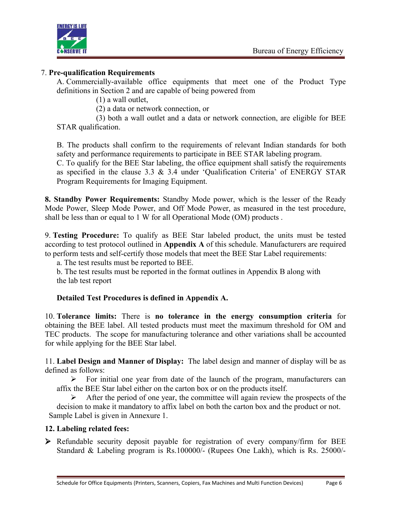

#### 7. **Pre-qualification Requirements**

A. Commercially-available office equipments that meet one of the Product Type definitions in Section 2 and are capable of being powered from

(1) a wall outlet,

(2) a data or network connection, or

(3) both a wall outlet and a data or network connection, are eligible for BEE STAR qualification.

B. The products shall confirm to the requirements of relevant Indian standards for both safety and performance requirements to participate in BEE STAR labeling program.

C. To qualify for the BEE Star labeling, the office equipment shall satisfy the requirements as specified in the clause 3.3 & 3.4 under 'Qualification Criteria' of ENERGY STAR Program Requirements for Imaging Equipment.

**8. Standby Power Requirements:** Standby Mode power, which is the lesser of the Ready Mode Power, Sleep Mode Power, and Off Mode Power, as measured in the test procedure, shall be less than or equal to 1 W for all Operational Mode (OM) products .

9. **Testing Procedure:** To qualify as BEE Star labeled product, the units must be tested according to test protocol outlined in **Appendix A** of this schedule. Manufacturers are required to perform tests and self-certify those models that meet the BEE Star Label requirements:

a. The test results must be reported to BEE.

b. The test results must be reported in the format outlines in Appendix B along with the lab test report

#### **Detailed Test Procedures is defined in Appendix A.**

10. **Tolerance limits:** There is **no tolerance in the energy consumption criteria** for obtaining the BEE label. All tested products must meet the maximum threshold for OM and TEC products. The scope for manufacturing tolerance and other variations shall be accounted for while applying for the BEE Star label.

11. **Label Design and Manner of Display:** The label design and manner of display will be as defined as follows:

 $\triangleright$  For initial one year from date of the launch of the program, manufacturers can affix the BEE Star label either on the carton box or on the products itself.

 $\triangleright$  After the period of one year, the committee will again review the prospects of the decision to make it mandatory to affix label on both the carton box and the product or not. Sample Label is given in Annexure 1.

#### **12. Labeling related fees:**

 $\triangleright$  Refundable security deposit payable for registration of every company/firm for BEE Standard & Labeling program is Rs.100000/- (Rupees One Lakh), which is Rs. 25000/-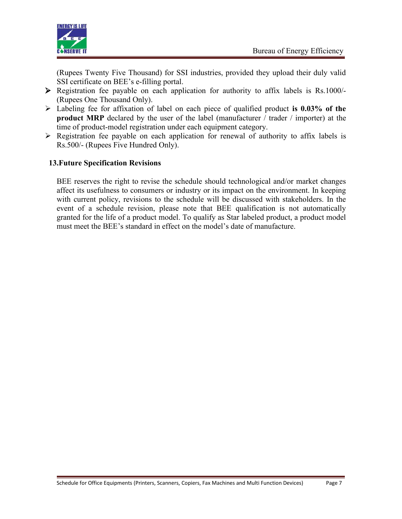

(Rupees Twenty Five Thousand) for SSI industries, provided they upload their duly valid SSI certificate on BEE's e-filling portal.

- $\triangleright$  Registration fee payable on each application for authority to affix labels is Rs.1000/-(Rupees One Thousand Only).
- $\triangleright$  Labeling fee for affixation of label on each piece of qualified product is **0.03%** of the **product MRP** declared by the user of the label (manufacturer / trader / importer) at the time of product-model registration under each equipment category.
- $\triangleright$  Registration fee payable on each application for renewal of authority to affix labels is Rs.500/- (Rupees Five Hundred Only).

## **13.Future Specification Revisions**

BEE reserves the right to revise the schedule should technological and/or market changes affect its usefulness to consumers or industry or its impact on the environment. In keeping with current policy, revisions to the schedule will be discussed with stakeholders. In the event of a schedule revision, please note that BEE qualification is not automatically granted for the life of a product model. To qualify as Star labeled product, a product model must meet the BEE's standard in effect on the model's date of manufacture.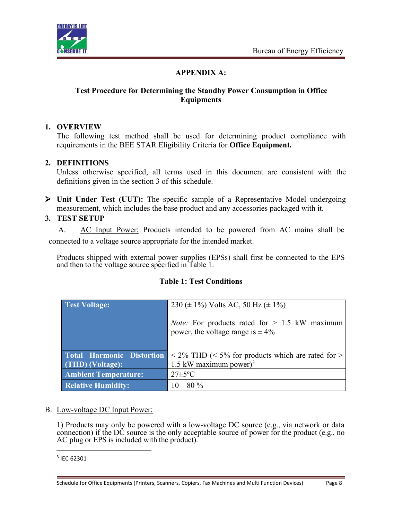

## **APPENDIX A:**

#### **Test Procedure for Determining the Standby Power Consumption in Office Equipments**

#### **1. OVERVIEW**

The following test method shall be used for determining product compliance with requirements in the BEE STAR Eligibility Criteria for **Office Equipment.**

## **2. DEFINITIONS**

Unless otherwise specified, all terms used in this document are consistent with the definitions given in the section 3 of this schedule.

 **Unit Under Test (UUT):** The specific sample of a Representative Model undergoing measurement, which includes the base product and any accessories packaged with it.

## **3. TEST SETUP**

A. AC Input Power: Products intended to be powered from AC mains shall be connected to a voltage source appropriate for the intended market.

Products shipped with external power supplies (EPSs) shall first be connected to the EPS and then to the voltage source specified in Table 1.

| <b>Test Voltage:</b>             | 230 ( $\pm$ 1%) Volts AC, 50 Hz ( $\pm$ 1%)                                                     |  |
|----------------------------------|-------------------------------------------------------------------------------------------------|--|
|                                  | <i>Note:</i> For products rated for $> 1.5$ kW maximum<br>power, the voltage range is $\pm 4\%$ |  |
| <b>Total Harmonic Distortion</b> | $\langle 2\% \text{ THD } (\leq 5\% \text{ for products which are rated for } > 0 \rangle$      |  |
| (THD) (Voltage):                 | 1.5 kW maximum power) <sup>3</sup>                                                              |  |
| <b>Ambient Temperature:</b>      | $27 \pm 5$ °C                                                                                   |  |
| <b>Relative Humidity:</b>        | $10 - 80\%$                                                                                     |  |

#### **Table 1: Test Conditions**

#### B. Low-voltage DC Input Power:

1) Products may only be powered with a low-voltage DC source (e.g., via network or data connection) if the DC source is the only acceptable source of power for the product (e.g., no AC plug or EPS is included with the product).

Schedule for Office Equipments (Printers, Scanners, Copiers, Fax Machines and Multi Function Devices) Page 8

<span id="page-7-0"></span><sup>3</sup> IEC 62301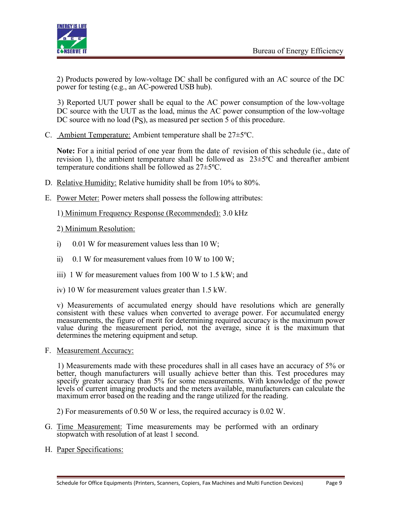

2) Products powered by low-voltage DC shall be configured with an AC source of the DC power for testing (e.g., an AC-powered USB hub).

3) Reported UUT power shall be equal to the AC power consumption of the low-voltage DC source with the UUT as the load, minus the AC power consumption of the low-voltage DC source with no load (PS), as measured per section 5 of this procedure.

C. Ambient Temperature: Ambient temperature shall be 27±5ºC.

**Note:** For a initial period of one year from the date of revision of this schedule (ie., date of revision 1), the ambient temperature shall be followed as 23±5ºC and thereafter ambient temperature conditions shall be followed as  $27 \pm 5^{\circ}$ C.

- D. Relative Humidity: Relative humidity shall be from 10% to 80%.
- E. Power Meter: Power meters shall possess the following attributes:

1) Minimum Frequency Response (Recommended): 3.0 kHz

- 2) Minimum Resolution:
- i)  $0.01$  W for measurement values less than 10 W;
- ii) 0.1 W for measurement values from 10 W to 100 W;
- iii) 1 W for measurement values from 100 W to 1.5 kW; and
- iv) 10 W for measurement values greater than 1.5 kW.

v) Measurements of accumulated energy should have resolutions which are generally consistent with these values when converted to average power. For accumulated energy measurements, the figure of merit for determining required accuracy is the maximum power value during the measurement period, not the average, since it is the maximum that determines the metering equipment and setup.

F. Measurement Accuracy:

1) Measurements made with these procedures shall in all cases have an accuracy of 5% or better, though manufacturers will usually achieve better than this. Test procedures may specify greater accuracy than 5% for some measurements. With knowledge of the power levels of current imaging products and the meters available, manufacturers can calculate the maximum error based on the reading and the range utilized for the reading.

- 2) For measurements of 0.50 W or less, the required accuracy is 0.02 W.
- G. Time Measurement: Time measurements may be performed with an ordinary stopwatch with resolution of at least 1 second.
- H. Paper Specifications: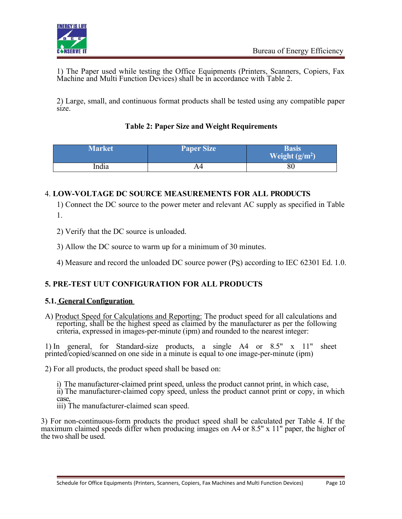

1) The Paper used while testing the Office Equipments (Printers, Scanners, Copiers, Fax Machine and Multi Function Devices) shall be in accordance with Table 2.

2) Large, small, and continuous format products shall be tested using any compatible paper size.

## **Table 2: Paper Size and Weight Requirements**

| <b>Market</b> | <b>Paper Size</b> | Basis<br>Weight $(g/m^2)$ |
|---------------|-------------------|---------------------------|
| India         |                   | 80                        |

## 4. **LOW-VOLTAGE DC SOURCE MEASUREMENTS FOR ALL PRODUCTS**

1) Connect the DC source to the power meter and relevant AC supply as specified in Table 1.

2) Verify that the DC source is unloaded.

3) Allow the DC source to warm up for a minimum of 30 minutes.

4) Measure and record the unloaded DC source power (PS) according to IEC 62301 Ed. 1.0.

## **5. PRE-TEST UUT CONFIGURATION FOR ALL PRODUCTS**

#### **5.1. General Configuration**

A) Product Speed for Calculations and Reporting: The product speed for all calculations and reporting, shall be the highest speed as claimed by the manufacturer as per the following criteria, expressed in images-per-minute (ipm) and rounded to the nearest integer:

1) In general, for Standard-size products, a single A4 or 8.5" x 11" sheet printed/copied/scanned on one side in a minute is equal to one image-per-minute (ipm)

2) For all products, the product speed shall be based on:

i) The manufacturer-claimed print speed, unless the product cannot print, in which case, ii) The manufacturer-claimed copy speed, unless the product cannot print or copy, in which case, iii) The manufacturer-claimed scan speed.

3) For non-continuous-form products the product speed shall be calculated per Table 4. If the maximum claimed speeds differ when producing images on A4 or 8.5" x 11" paper, the higher of the two shall be used.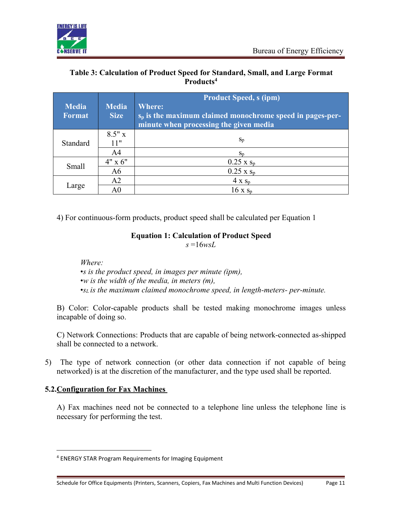

## **Table 3: Calculation of Product Speed for Standard, Small, and Large Format Products[4](#page-10-0)**

|               |                | <b>Product Speed, s (ipm)</b>                               |  |
|---------------|----------------|-------------------------------------------------------------|--|
| <b>Media</b>  | <b>Media</b>   | Where:                                                      |  |
| <b>Format</b> | <b>Size</b>    | $s_p$ is the maximum claimed monochrome speed in pages-per- |  |
|               |                | minute when processing the given media                      |  |
|               | $8.5"$ x       |                                                             |  |
| Standard      | 11"            | $S_p$                                                       |  |
|               | A4             | $S_{n}$                                                     |  |
| Small         | $4" \times 6"$ | $0.25$ x $s_p$                                              |  |
|               | A6             | $0.25 \times s_p$                                           |  |
| Large         | A <sub>2</sub> | $4 \times s_p$                                              |  |
|               | A0             | $16 \times s_p$                                             |  |

4) For continuous-form products, product speed shall be calculated per Equation 1

## **Equation 1: Calculation of Product Speed**

 $s = 16$ *wsL* 

*Where:*

- •*s is the product speed, in images per minute (ipm),*
- •*w is the width of the media, in meters (m),*
- •*s<sup>L</sup> is the maximum claimed monochrome speed, in length-meters- per-minute.*

B) Color: Color-capable products shall be tested making monochrome images unless incapable of doing so.

C) Network Connections: Products that are capable of being network-connected as-shipped shall be connected to a network.

5) The type of network connection (or other data connection if not capable of being networked) is at the discretion of the manufacturer, and the type used shall be reported.

## **5.2.Configuration for Fax Machines**

A) Fax machines need not be connected to a telephone line unless the telephone line is necessary for performing the test.

<span id="page-10-0"></span><sup>4</sup> ENERGY STAR Program Requirements for Imaging Equipment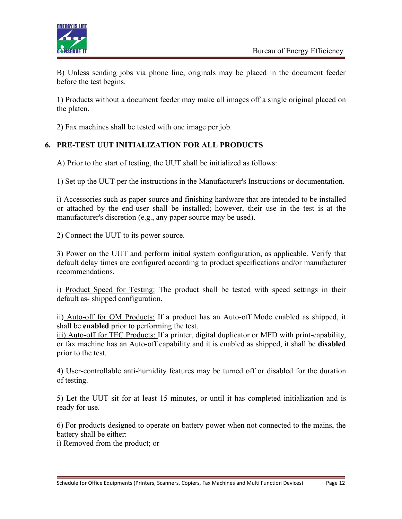

B) Unless sending jobs via phone line, originals may be placed in the document feeder before the test begins.

1) Products without a document feeder may make all images off a single original placed on the platen.

2) Fax machines shall be tested with one image per job.

## **6. PRE-TEST UUT INITIALIZATION FOR ALL PRODUCTS**

A) Prior to the start of testing, the UUT shall be initialized as follows:

1) Set up the UUT per the instructions in the Manufacturer's Instructions ordocumentation.

i) Accessories such as paper source and finishing hardware that are intended to be installed or attached by the end-user shall be installed; however, their use in the test is at the manufacturer's discretion (e.g., any paper source may be used).

2) Connect the UUT to its power source.

3) Power on the UUT and perform initial system configuration, as applicable. Verify that default delay times are configured according to product specifications and/or manufacturer recommendations.

i) Product Speed for Testing: The product shall be tested with speed settings in their default as- shipped configuration.

ii) Auto-off for OM Products: If a product has an Auto-off Mode enabled as shipped, it shall be **enabled** prior to performing the test.

iii) Auto-off for TEC Products: If a printer, digital duplicator or MFD with print-capability, or fax machine has an Auto-off capability and it is enabled as shipped,it shall be **disabled** prior to the test.

4) User-controllable anti-humidity features may be turned off or disabled for the duration of testing.

5) Let the UUT sit for at least 15 minutes, or until it has completed initialization and is ready for use.

6) For products designed to operate on battery power when not connected to the mains, the battery shall be either:

i) Removed from the product; or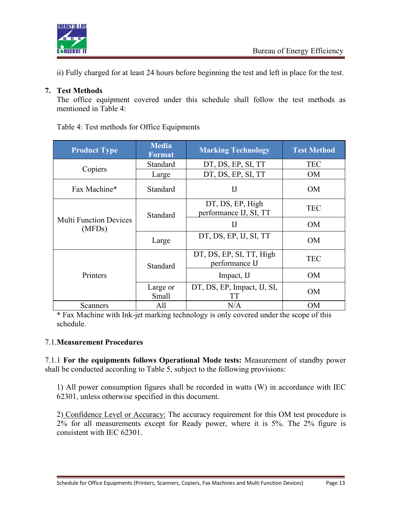

ii) Fully charged for at least 24 hours before beginning the test and left in place for the test.

## **7. Test Methods**

The office equipment covered under this schedule shall follow the test methods as mentioned in Table 4:

Table 4: Test methods for Office Equipments

| <b>Product Type</b>                     | <b>Media</b><br><b>Format</b> | <b>Marking Technology</b>                  | <b>Test Method</b> |
|-----------------------------------------|-------------------------------|--------------------------------------------|--------------------|
| Copiers                                 | <b>Standard</b>               | DT, DS, EP, SI, TT                         | <b>TEC</b>         |
|                                         | Large                         | DT, DS, EP, SI, TT                         | <b>OM</b>          |
| Fax Machine*                            | Standard                      | I                                          | <b>OM</b>          |
|                                         | Standard                      | DT, DS, EP, High<br>performance IJ, SI, TT | <b>TEC</b>         |
| <b>Multi Function Devices</b><br>(MFDs) |                               | $_{\text{IJ}}$                             | <b>OM</b>          |
|                                         | Large                         | DT, DS, EP, IJ, SI, TT                     | <b>OM</b>          |
|                                         | Standard                      | DT, DS, EP, SI, TT, High<br>performance IJ | <b>TEC</b>         |
| Printers                                |                               | Impact, IJ                                 | OM                 |
|                                         | Large or<br>Small             | DT, DS, EP, Impact, IJ, SI,<br>TТ          | <b>OM</b>          |
| Scanners                                | All                           | N/A                                        | <b>OM</b>          |

**\*** Fax Machine with Ink-jet marking technology is only covered under the scope of this schedule.

#### 7.1.**Measurement Procedures**

7.1.1 **For the equipments follows Operational Mode tests:** Measurement of standby power shall be conducted according to Table 5, subject to the following provisions:

1) All power consumption figures shall be recorded in watts (W) in accordance with IEC 62301, unless otherwise specified in this document.

2) Confidence Level or Accuracy: The accuracy requirement for this OM test procedure is 2% for all measurements except for Ready power, where it is 5%. The 2% figure is consistent with IEC 62301.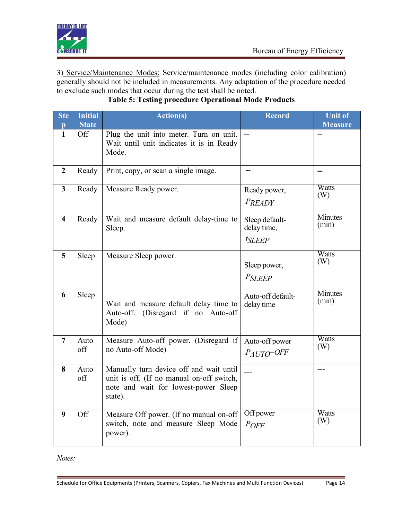

3) Service/Maintenance Modes: Service/maintenance modes (including color calibration) generally should not be included in measurements. Any adaptation of the procedure needed to exclude such modes that occur during the test shall be noted.

| <b>Ste</b><br>$\mathbf{p}$ | Initial<br><b>State</b> | <b>Action(s)</b>                                                                                                                        | <b>Record</b>                                  | <b>Unit of</b><br><b>Measure</b> |
|----------------------------|-------------------------|-----------------------------------------------------------------------------------------------------------------------------------------|------------------------------------------------|----------------------------------|
| $\mathbf{1}$               | Off                     | Plug the unit into meter. Turn on unit.<br>Wait until unit indicates it is in Ready<br>Mode.                                            |                                                |                                  |
| $\boldsymbol{2}$           | Ready                   | Print, copy, or scan a single image.                                                                                                    | $-$                                            | --                               |
| $\overline{\mathbf{3}}$    | Ready                   | Measure Ready power.                                                                                                                    | Ready power,<br>$P_{READV}$                    | Watts<br>(W)                     |
| $\overline{\mathbf{4}}$    | Ready                   | Wait and measure default delay-time to<br>Sleep.                                                                                        | Sleep default-<br>delay time,<br><i>tSLEEP</i> | <b>Minutes</b><br>(min)          |
| 5                          | Sleep                   | Measure Sleep power.                                                                                                                    | Sleep power,<br><b>PSLEEP</b>                  | Watts<br>(W)                     |
| 6                          | Sleep                   | Wait and measure default delay time to<br>Auto-off. (Disregard if no Auto-off<br>Mode)                                                  | Auto-off default-<br>delay time                | Minutes<br>(min)                 |
| $\overline{7}$             | Auto<br>off             | Measure Auto-off power. (Disregard if<br>no Auto-off Mode)                                                                              | Auto-off power<br>$P_{AITO}$ -OFF              | Watts<br>(W)                     |
| 8                          | Auto<br>off             | Manually turn device off and wait until<br>unit is off. (If no manual on-off switch,<br>note and wait for lowest-power Sleep<br>state). |                                                |                                  |
| 9                          | Off                     | Measure Off power. (If no manual on-off<br>switch, note and measure Sleep Mode<br>power).                                               | Off power<br>$P$ OFF                           | Watts<br>(W)                     |

# **Table 5: Testing procedure Operational Mode Products**

*Notes:*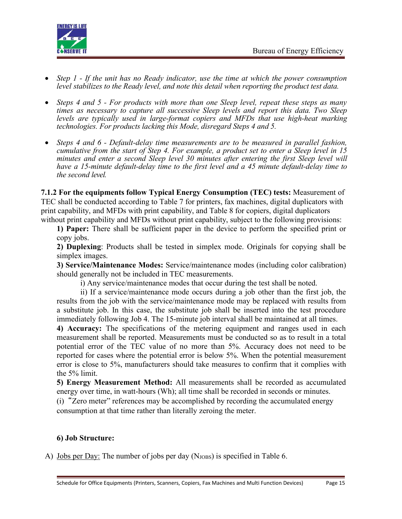

- *Step 1 - If the unit has no Ready indicator, use the time at which the power consumption level stabilizes to the Ready level, and note this detail when reporting the product test data.*
- *Steps 4 and 5 - For products with more than one Sleep level, repeat these steps as many times as necessary to capture all successive Sleep levels and report this data. Two Sleep levels are typically used in large-format copiers and MFDs that use high-heat marking technologies. For products lacking this Mode, disregard Steps 4 and 5.*
- *Steps 4 and 6 - Default-delay time measurements are to be measured in parallel fashion, cumulative from the start ofStep 4. For example, a product set to enter a Sleep level in 15 minutes and enter a second Sleep level 30 minutes after entering the first Sleep level will have a 15-minute default-delay time to the first level and a 45 minute default-delay time to the second level.*

**7.1.2 For the equipments follow Typical Energy Consumption (TEC) tests:** Measurement of TEC shall be conducted according to Table 7 for printers, fax machines, digital duplicators with print capability, and MFDs with print capability, and Table 8 for copiers, digital duplicators without print capability and MFDs without print capability, subject to the following provisions:

**1) Paper:** There shall be sufficient paper in the device to perform the specified print or copy jobs.

**2) Duplexing**: Products shall be tested in simplex mode. Originals for copying shall be simplex images.

**3) Service/Maintenance Modes:** Service/maintenance modes (including color calibration) should generally not be included in TEC measurements.

i) Any service/maintenance modes that occur during the test shall be noted.

ii) If a service/maintenance mode occurs during a job other than the first job, the results from the job with the service/maintenance mode may be replaced with results from a substitute job. In this case, the substitute job shall be inserted into the test procedure immediately following Job 4. The 15-minute job interval shall be maintained at all times.

**4) Accuracy:** The specifications of the metering equipment and ranges used in each measurement shall be reported. Measurements must be conducted so as to result in a total potential error of the TEC value of no more than 5%. Accuracy does not need to be reported for cases where the potential error is below 5%. When the potential measurement error is close to 5%, manufacturers should take measures to confirm that it complies with the 5% limit.

**5) Energy Measurement Method:** All measurements shall be recorded as accumulated energy over time, in watt-hours (Wh); all time shall be recorded in seconds or minutes.

(i)"Zero meter" references may be accomplished by recording the accumulated energy consumption at that time rather than literally zeroing the meter.

#### **6) Job Structure:**

A) Jobs per Day: The number of jobs per day  $(N_{JOBS})$  is specified in Table 6.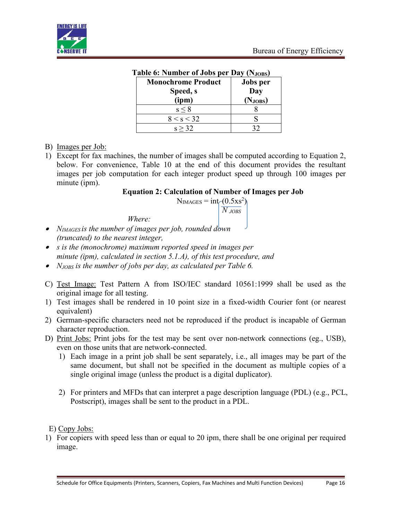

|                           | <b>Lable 6: Number 01 JODS per Day (N</b> JOBS) |  |  |  |  |
|---------------------------|-------------------------------------------------|--|--|--|--|
| <b>Monochrome Product</b> | <b>Jobs</b> per                                 |  |  |  |  |
| Speed, s                  | Day                                             |  |  |  |  |
| (ipm)                     | (Njobs)                                         |  |  |  |  |
| $s \leq 8$                |                                                 |  |  |  |  |
| 8 < s < 32                |                                                 |  |  |  |  |
| s > 32                    |                                                 |  |  |  |  |

#### **Table 6: Number of Jobs per Day (NJOBS)**

#### B) Images per Job:

1) Except for fax machines, the number of images shall be computed according to Equation 2, below. For convenience, Table 10 at the end of this document provides the resultant images per job computation for each integer product speed up through 100 images per minute (ipm).

#### **Equation 2: Calculation of Number of Images per Job**

 $N<sub>IMAGES</sub> = int(0.5xs<sup>2</sup>)$ 

*N JOBS*

*Where:*

- *NIMAGES is the number of images per job, rounded down (truncated) to the nearest integer,*
- *s is the (monochrome) maximum reported speed in images per minute (ipm), calculated in section 5.1.A), of this test procedure, and*
- *NJOBS is the number of jobs per day, as calculated per Table 6.*
- C) Test Image: Test Pattern A from ISO/IEC standard 10561:1999 shall be used as the original image for all testing.
- 1) Test images shall be rendered in 10 point size in a fixed-width Courier font (or nearest equivalent)
- 2) German-specific characters need not be reproduced if the product is incapable of German character reproduction.
- D) Print Jobs: Print jobs for the test may be sent over non-network connections (eg., USB), even on those units that are network-connected.
	- 1) Each image in a print job shall be sent separately, i.e., all images may be part of the same document, but shall not be specified in the document as multiple copies of a single original image (unless the product is a digital duplicator).
	- 2) For printers and MFDs that can interpret a page description language (PDL) (e.g., PCL, Postscript), images shall be sent to the product in a PDL.

E) Copy Jobs:

1) For copiers with speed less than or equal to 20 ipm, there shall be one original per required image.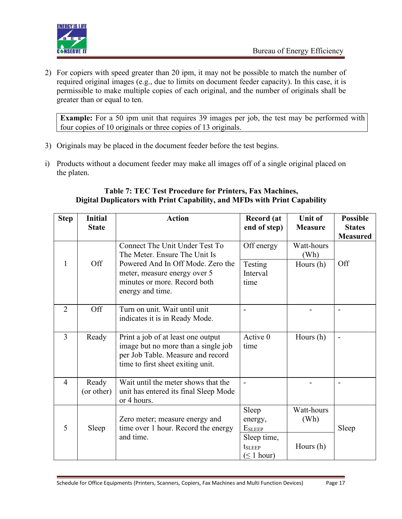

2) For copiers with speed greater than 20 ipm, itmay not be possible to match the number of required original images (e.g., due to limits on document feeder capacity). In this case, it is permissible to make multiple copies of each original, and the number of originals shall be greater than or equal to ten.

**Example:** For a 50 ipm unit that requires 39 images per job, the test may be performed with four copies of 10 originals or three copies of 13 originals.

- 3) Originals may be placed in the document feeder before the test begins.
- i) Products without a document feeder may make all images off of a single original placed on the platen.

#### **Table 7: TEC Test Procedure for Printers, Fax Machines, Digital Duplicators with Print Capability, and MFDs with Print Capability**

| <b>Step</b>    | <b>Initial</b><br><b>State</b> | <b>Action</b>                                                                                                                                       | Record (at<br>end of step)               | <b>Unit of</b><br><b>Measure</b> | <b>Possible</b><br><b>States</b><br><b>Measured</b> |
|----------------|--------------------------------|-----------------------------------------------------------------------------------------------------------------------------------------------------|------------------------------------------|----------------------------------|-----------------------------------------------------|
|                |                                | Connect The Unit Under Test To<br>The Meter. Ensure The Unit Is                                                                                     | Off energy                               | Watt-hours<br>(Wh)               |                                                     |
| 1              | Off                            | Powered And In Off Mode. Zero the<br>meter, measure energy over 5<br>minutes or more. Record both<br>energy and time.                               | Testing<br>Interval<br>time              | Hours (h)                        | Off                                                 |
| $\overline{2}$ | Off                            | Turn on unit. Wait until unit<br>indicates it is in Ready Mode.                                                                                     |                                          |                                  |                                                     |
| $\overline{3}$ | Ready                          | Print a job of at least one output<br>image but no more than a single job<br>per Job Table. Measure and record<br>time to first sheet exiting unit. | Active 0<br>time                         | Hours $(h)$                      | $\overline{\phantom{a}}$                            |
| $\overline{4}$ | Ready<br>(or other)            | Wait until the meter shows that the<br>unit has entered its final Sleep Mode<br>or 4 hours.                                                         |                                          |                                  | $\overline{\phantom{a}}$                            |
| 5              | Sleep                          | Zero meter; measure energy and<br>time over 1 hour. Record the energy                                                                               | Sleep<br>energy,<br><b>ESLEEP</b>        | Watt-hours<br>(Wh)               | Sleep                                               |
|                |                                | and time.                                                                                                                                           | Sleep time,<br>tsleep<br>$(\leq 1$ hour) | Hours $(h)$                      |                                                     |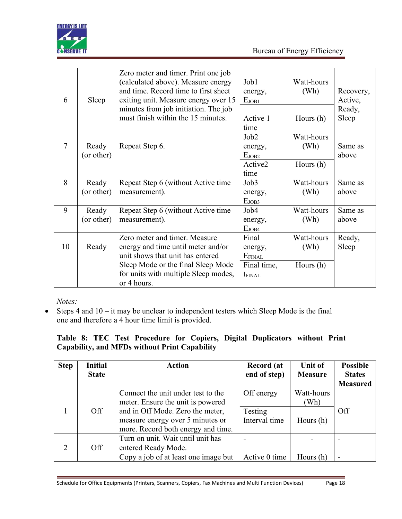

| 6      | Sleep      | Zero meter and timer. Print one job<br>(calculated above). Measure energy<br>and time. Record time to first sheet<br>exiting unit. Measure energy over 15 | Job1<br>energy,<br>E <sub>JOB1</sub> | Watt-hours<br>(Wh) | Recovery,<br>Active, |
|--------|------------|-----------------------------------------------------------------------------------------------------------------------------------------------------------|--------------------------------------|--------------------|----------------------|
|        |            | minutes from job initiation. The job<br>must finish within the 15 minutes.                                                                                | Active 1<br>time                     | Hours $(h)$        | Ready,<br>Sleep      |
|        |            |                                                                                                                                                           | Job2                                 | Watt-hours         |                      |
| $\tau$ | Ready      | Repeat Step 6.                                                                                                                                            | energy,                              | (Wh)               | Same as              |
|        | (or other) |                                                                                                                                                           | E <sub>JOB2</sub>                    |                    | above                |
|        |            |                                                                                                                                                           | Active2                              | Hours (h)          |                      |
|        |            |                                                                                                                                                           | time                                 |                    |                      |
| 8      | Ready      | Repeat Step 6 (without Active time                                                                                                                        | Job <sub>3</sub>                     | Watt-hours         | Same as              |
|        | (or other) | measurement).                                                                                                                                             | energy,                              | (Wh)               | above                |
|        |            |                                                                                                                                                           | E <sub>JOB3</sub>                    |                    |                      |
| 9      | Ready      | Repeat Step 6 (without Active time                                                                                                                        | Job <sub>4</sub>                     | Watt-hours         | Same as              |
|        | (or other) | measurement).                                                                                                                                             | energy,                              | (Wh)               | above                |
|        |            |                                                                                                                                                           | E <sub>JOB4</sub>                    |                    |                      |
|        |            | Zero meter and timer. Measure                                                                                                                             | Final                                | Watt-hours         | Ready,               |
| 10     | Ready      | energy and time until meter and/or                                                                                                                        | energy,                              | (Wh)               | Sleep                |
|        |            | unit shows that unit has entered                                                                                                                          | EFINAL                               |                    |                      |
|        |            | Sleep Mode or the final Sleep Mode                                                                                                                        | Final time,                          | Hours $(h)$        |                      |
|        |            | for units with multiple Sleep modes,                                                                                                                      | t <sub>FINAL</sub>                   |                    |                      |
|        |            | or 4 hours.                                                                                                                                               |                                      |                    |                      |

*Notes:*

 $\bullet$  Steps 4 and  $10 - it$  may be unclear to independent testers which Sleep Mode is the final one and therefore a 4 hour time limit is provided.

## **Table 8: TEC Test Procedure for Copiers, Digital Duplicators without Print Capability, and MFDs without Print Capability**

| <b>Step</b> | Initial      | <b>Action</b>                        | <b>Record</b> (at | Unit of        | <b>Possible</b> |
|-------------|--------------|--------------------------------------|-------------------|----------------|-----------------|
|             | <b>State</b> |                                      | end of step)      | <b>Measure</b> | <b>States</b>   |
|             |              |                                      |                   |                | <b>Measured</b> |
|             |              | Connect the unit under test to the   | Off energy        | Watt-hours     |                 |
|             |              | meter. Ensure the unit is powered    |                   | (Wh)           |                 |
|             | Off          | and in Off Mode. Zero the meter,     | Testing           |                | Off             |
|             |              | measure energy over 5 minutes or     | Interval time     | Hours $(h)$    |                 |
|             |              | more. Record both energy and time.   |                   |                |                 |
|             |              | Turn on unit. Wait until unit has    |                   |                |                 |
|             | Off          | entered Ready Mode.                  |                   |                |                 |
|             |              | Copy a job of at least one image but | Active 0 time     | Hours $(h)$    |                 |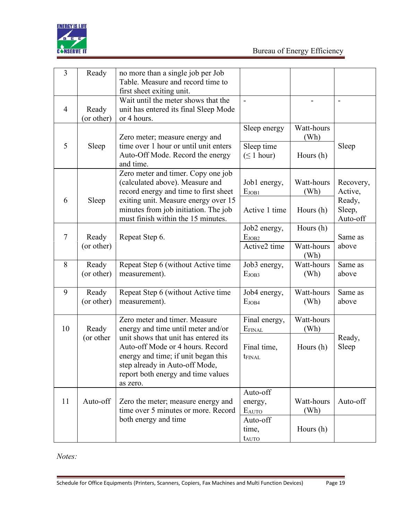

| 3              | Ready               | no more than a single job per Job<br>Table. Measure and record time to<br>first sheet exiting unit.                                                                                                                                  |                                                    |                                 |                                                      |
|----------------|---------------------|--------------------------------------------------------------------------------------------------------------------------------------------------------------------------------------------------------------------------------------|----------------------------------------------------|---------------------------------|------------------------------------------------------|
| $\overline{4}$ | Ready<br>(or other) | Wait until the meter shows that the<br>unit has entered its final Sleep Mode<br>or 4 hours.                                                                                                                                          |                                                    |                                 |                                                      |
| 5              | Sleep               | Zero meter; measure energy and<br>time over 1 hour or until unit enters<br>Auto-Off Mode. Record the energy<br>and time.                                                                                                             | Sleep energy<br>Sleep time<br>$(\leq 1$ hour)      | Watt-hours<br>(Wh)<br>Hours (h) | Sleep                                                |
| 6              | Sleep               | Zero meter and timer. Copy one job<br>(calculated above). Measure and<br>record energy and time to first sheet<br>exiting unit. Measure energy over 15<br>minutes from job initiation. The job<br>must finish within the 15 minutes. | Job1 energy,<br>E <sub>JOB1</sub><br>Active 1 time | Watt-hours<br>(Wh)<br>Hours (h) | Recovery,<br>Active,<br>Ready,<br>Sleep,<br>Auto-off |
| $\tau$         | Ready<br>(or other) | Repeat Step 6.                                                                                                                                                                                                                       | Job2 energy,<br>E <sub>JOB2</sub><br>Active2 time  | Hours (h)<br>Watt-hours<br>(Wh) | Same as<br>above                                     |
| 8              | Ready<br>(or other) | Repeat Step 6 (without Active time<br>measurement).                                                                                                                                                                                  | Job3 energy,<br>E <sub>JOB3</sub>                  | Watt-hours<br>(Wh)              | Same as<br>above                                     |
| 9              | Ready<br>(or other) | Repeat Step 6 (without Active time<br>measurement).                                                                                                                                                                                  | Job4 energy,<br>E <sub>JOB4</sub>                  | Watt-hours<br>(Wh)              | Same as<br>above                                     |
| 10             | Ready               | Zero meter and timer. Measure<br>energy and time until meter and/or                                                                                                                                                                  | Final energy,<br>EFINAL                            | Watt-hours<br>(Wh)              |                                                      |
|                | (or other           | unit shows that unit has entered its<br>Auto-off Mode or 4 hours. Record<br>energy and time; if unit began this<br>step already in Auto-off Mode,<br>report both energy and time values<br>as zero.                                  | Final time,<br><b>t</b> <sub>FINAL</sub>           | Hours (h)                       | Ready,<br>Sleep                                      |
| 11             | Auto-off            | Zero the meter; measure energy and<br>time over 5 minutes or more. Record                                                                                                                                                            | Auto-off<br>energy,<br>EAUTO                       | Watt-hours<br>(Wh)              | Auto-off                                             |
|                |                     | both energy and time                                                                                                                                                                                                                 | Auto-off<br>time,<br>tauto                         | Hours (h)                       |                                                      |

*Notes:*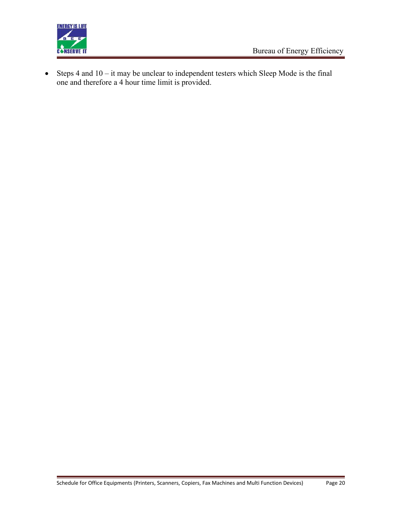

 $\bullet$  Steps 4 and  $10 - it$  may be unclear to independent testers which Sleep Mode is the final one and therefore a 4 hour time limit is provided.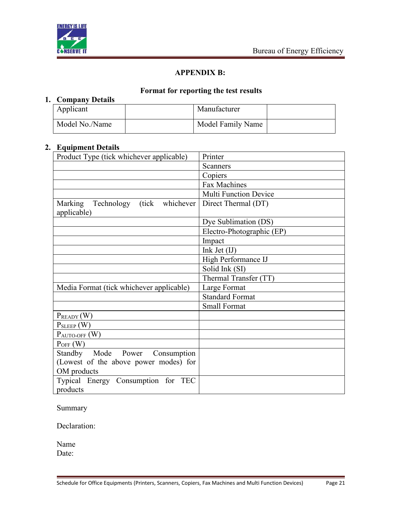

## **APPENDIX B:**

## **Format for reporting the test results**

## **1. Company Details**

| Applicant      | Manufacturer      |  |
|----------------|-------------------|--|
| Model No./Name | Model Family Name |  |

## **2. Equipment Details**

| Product Type (tick whichever applicable)                 | Printer                      |
|----------------------------------------------------------|------------------------------|
|                                                          | Scanners                     |
|                                                          | Copiers                      |
|                                                          | Fax Machines                 |
|                                                          | <b>Multi Function Device</b> |
| (tick whichever)<br>Technology<br>Marking<br>applicable) | Direct Thermal (DT)          |
|                                                          | Dye Sublimation (DS)         |
|                                                          | Electro-Photographic (EP)    |
|                                                          | Impact                       |
|                                                          | Ink Jet $(II)$               |
|                                                          | High Performance IJ          |
|                                                          | Solid Ink (SI)               |
|                                                          | Thermal Transfer (TT)        |
| Media Format (tick whichever applicable)                 | Large Format                 |
|                                                          | <b>Standard Format</b>       |
|                                                          | <b>Small Format</b>          |
| $P_{READV}(W)$                                           |                              |
| $P_{SLEEP}$ (W)                                          |                              |
| $P_{\text{AUTO-OFF}}(W)$                                 |                              |
| $P_{OFF}$ (W)                                            |                              |
| Standby Mode Power<br>Consumption                        |                              |
| (Lowest of the above power modes) for                    |                              |
| OM products                                              |                              |
| Typical Energy Consumption for TEC                       |                              |
| products                                                 |                              |

Summary

Declaration:

Name Date: